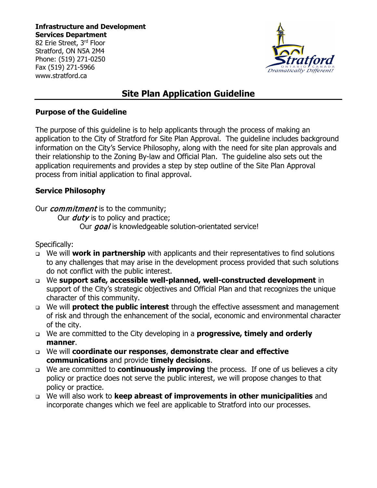**Infrastructure and Development Services Department** 82 Erie Street, 3rd Floor

Stratford, ON N5A 2M4 Phone: (519) 271-0250 Fax (519) 271-5966 www.stratford.ca



# **Site Plan Application Guideline**

### **Purpose of the Guideline**

The purpose of this guideline is to help applicants through the process of making an application to the City of Stratford for Site Plan Approval. The guideline includes background information on the City's Service Philosophy, along with the need for site plan approvals and their relationship to the Zoning By-law and Official Plan. The guideline also sets out the application requirements and provides a step by step outline of the Site Plan Approval process from initial application to final approval.

## **Service Philosophy**

Our *commitment* is to the community;

Our  $d$ utv is to policy and practice;

Our goal is knowledgeable solution-orientated service!

Specifically:

- We will **work in partnership** with applicants and their representatives to find solutions to any challenges that may arise in the development process provided that such solutions do not conflict with the public interest.
- We **support safe, accessible well-planned, well-constructed development** in support of the City's strategic objectives and Official Plan and that recognizes the unique character of this community.
- We will **protect the public interest** through the effective assessment and management of risk and through the enhancement of the social, economic and environmental character of the city.
- We are committed to the City developing in a **progressive, timely and orderly manner**.
- We will **coordinate our responses**, **demonstrate clear and effective communications** and provide **timely decisions**.
- We are committed to **continuously improving** the process. If one of us believes a city policy or practice does not serve the public interest, we will propose changes to that policy or practice.
- We will also work to **keep abreast of improvements in other municipalities** and incorporate changes which we feel are applicable to Stratford into our processes.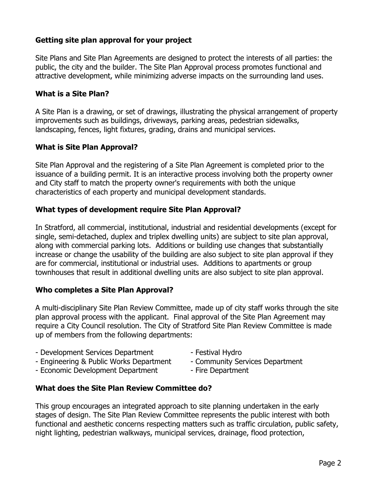### **Getting site plan approval for your project**

Site Plans and Site Plan Agreements are designed to protect the interests of all parties: the public, the city and the builder. The Site Plan Approval process promotes functional and attractive development, while minimizing adverse impacts on the surrounding land uses.

### **What is a Site Plan?**

A Site Plan is a drawing, or set of drawings, illustrating the physical arrangement of property improvements such as buildings, driveways, parking areas, pedestrian sidewalks, landscaping, fences, light fixtures, grading, drains and municipal services.

### **What is Site Plan Approval?**

Site Plan Approval and the registering of a Site Plan Agreement is completed prior to the issuance of a building permit. It is an interactive process involving both the property owner and City staff to match the property owner's requirements with both the unique characteristics of each property and municipal development standards.

#### **What types of development require Site Plan Approval?**

In Stratford, all commercial, institutional, industrial and residential developments (except for single, semi-detached, duplex and triplex dwelling units) are subject to site plan approval, along with commercial parking lots. Additions or building use changes that substantially increase or change the usability of the building are also subject to site plan approval if they are for commercial, institutional or industrial uses. Additions to apartments or group townhouses that result in additional dwelling units are also subject to site plan approval.

### **Who completes a Site Plan Approval?**

A multi-disciplinary Site Plan Review Committee, made up of city staff works through the site plan approval process with the applicant. Final approval of the Site Plan Agreement may require a City Council resolution. The City of Stratford Site Plan Review Committee is made up of members from the following departments:

- Development Services Department Festival Hydro
- Engineering & Public Works Department Community Services Department
- Economic Development Department Fire Department
- 
- 
- 

#### **What does the Site Plan Review Committee do?**

This group encourages an integrated approach to site planning undertaken in the early stages of design. The Site Plan Review Committee represents the public interest with both functional and aesthetic concerns respecting matters such as traffic circulation, public safety, night lighting, pedestrian walkways, municipal services, drainage, flood protection,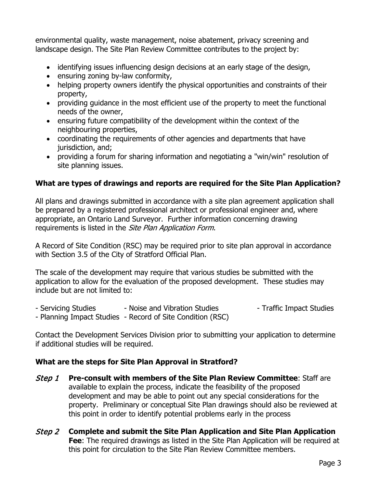environmental quality, waste management, noise abatement, privacy screening and landscape design. The Site Plan Review Committee contributes to the project by:

- identifying issues influencing design decisions at an early stage of the design,
- ensuring zoning by-law conformity,
- helping property owners identify the physical opportunities and constraints of their property,
- providing guidance in the most efficient use of the property to meet the functional needs of the owner,
- ensuring future compatibility of the development within the context of the neighbouring properties,
- coordinating the requirements of other agencies and departments that have jurisdiction, and;
- providing a forum for sharing information and negotiating a "win/win" resolution of site planning issues.

## **What are types of drawings and reports are required for the Site Plan Application?**

All plans and drawings submitted in accordance with a site plan agreement application shall be prepared by a registered professional architect or professional engineer and, where appropriate, an Ontario Land Surveyor. Further information concerning drawing requirements is listed in the Site Plan Application Form.

A Record of Site Condition (RSC) may be required prior to site plan approval in accordance with Section 3.5 of the City of Stratford Official Plan.

The scale of the development may require that various studies be submitted with the application to allow for the evaluation of the proposed development. These studies may include but are not limited to:

- Servicing Studies - Noise and Vibration Studies - Traffic Impact Studies - Planning Impact Studies - Record of Site Condition (RSC)

Contact the Development Services Division prior to submitting your application to determine if additional studies will be required.

## **What are the steps for Site Plan Approval in Stratford?**

- Step 1 **Pre-consult with members of the Site Plan Review Committee**: Staff are available to explain the process, indicate the feasibility of the proposed development and may be able to point out any special considerations for the property. Preliminary or conceptual Site Plan drawings should also be reviewed at this point in order to identify potential problems early in the process
- Step 2 **Complete and submit the Site Plan Application and Site Plan Application Fee**: The required drawings as listed in the Site Plan Application will be required at this point for circulation to the Site Plan Review Committee members.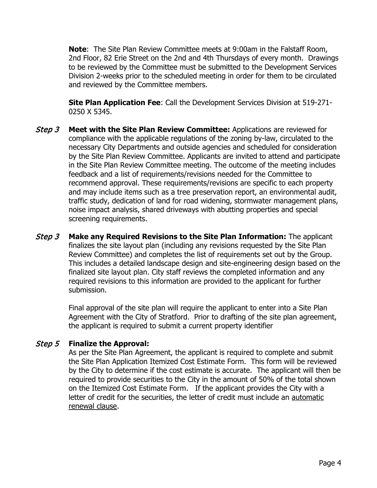**Note**: The Site Plan Review Committee meets at 9:00am in the Falstaff Room, 2nd Floor, 82 Erie Street on the 2nd and 4th Thursdays of every month. Drawings to be reviewed by the Committee must be submitted to the Development Services Division 2-weeks prior to the scheduled meeting in order for them to be circulated and reviewed by the Committee members.

**Site Plan Application Fee**: Call the Development Services Division at 519-271- 0250 X 5345.

- Step 3 **Meet with the Site Plan Review Committee:** Applications are reviewed for compliance with the applicable regulations of the zoning by-law, circulated to the necessary City Departments and outside agencies and scheduled for consideration by the Site Plan Review Committee. Applicants are invited to attend and participate in the Site Plan Review Committee meeting. The outcome of the meeting includes feedback and a list of requirements/revisions needed for the Committee to recommend approval. These requirements/revisions are specific to each property and may include items such as a tree preservation report, an environmental audit, traffic study, dedication of land for road widening, stormwater management plans, noise impact analysis, shared driveways with abutting properties and special screening requirements.
- Step 3 **Make any Required Revisions to the Site Plan Information:** The applicant finalizes the site layout plan (including any revisions requested by the Site Plan Review Committee) and completes the list of requirements set out by the Group. This includes a detailed landscape design and site-engineering design based on the finalized site layout plan. City staff reviews the completed information and any required revisions to this information are provided to the applicant for further submission.

Final approval of the site plan will require the applicant to enter into a Site Plan Agreement with the City of Stratford. Prior to drafting of the site plan agreement, the applicant is required to submit a current property identifier

### Step 5 **Finalize the Approval:**

As per the Site Plan Agreement, the applicant is required to complete and submit the Site Plan Application Itemized Cost Estimate Form. This form will be reviewed by the City to determine if the cost estimate is accurate. The applicant will then be required to provide securities to the City in the amount of 50% of the total shown on the Itemized Cost Estimate Form. If the applicant provides the City with a letter of credit for the securities, the letter of credit must include an automatic renewal clause.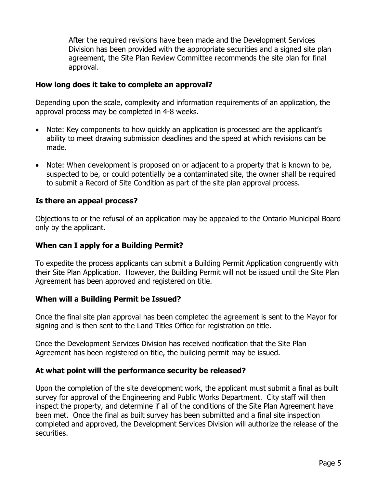After the required revisions have been made and the Development Services Division has been provided with the appropriate securities and a signed site plan agreement, the Site Plan Review Committee recommends the site plan for final approval.

#### **How long does it take to complete an approval?**

Depending upon the scale, complexity and information requirements of an application, the approval process may be completed in 4-8 weeks.

- Note: Key components to how quickly an application is processed are the applicant's ability to meet drawing submission deadlines and the speed at which revisions can be made.
- Note: When development is proposed on or adjacent to a property that is known to be, suspected to be, or could potentially be a contaminated site, the owner shall be required to submit a Record of Site Condition as part of the site plan approval process.

### **Is there an appeal process?**

Objections to or the refusal of an application may be appealed to the Ontario Municipal Board only by the applicant.

### **When can I apply for a Building Permit?**

To expedite the process applicants can submit a Building Permit Application congruently with their Site Plan Application. However, the Building Permit will not be issued until the Site Plan Agreement has been approved and registered on title.

### **When will a Building Permit be Issued?**

Once the final site plan approval has been completed the agreement is sent to the Mayor for signing and is then sent to the Land Titles Office for registration on title.

Once the Development Services Division has received notification that the Site Plan Agreement has been registered on title, the building permit may be issued.

### **At what point will the performance security be released?**

Upon the completion of the site development work, the applicant must submit a final as built survey for approval of the Engineering and Public Works Department. City staff will then inspect the property, and determine if all of the conditions of the Site Plan Agreement have been met. Once the final as built survey has been submitted and a final site inspection completed and approved, the Development Services Division will authorize the release of the securities.